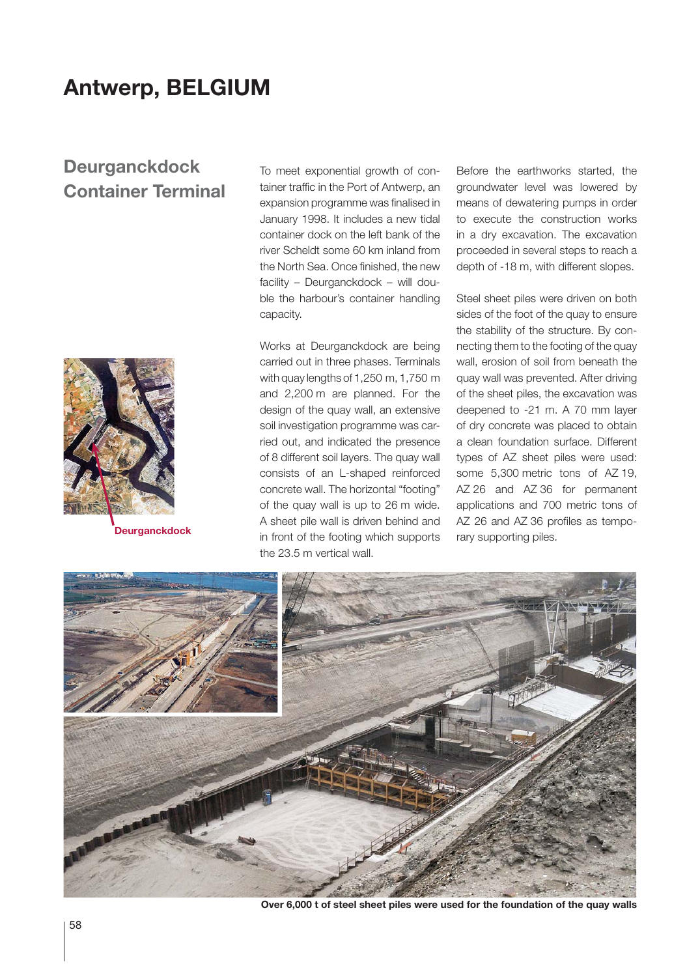# **Antwerp, BELGIUM**

## **Deurganckdock Container Terminal**



To meet exponential growth of container traffic in the Port of Antwerp, an expansion programme was finalised in January 1998. It includes a new tidal container dock on the left bank of the river Scheldt some 60 km inland from the North Sea. Once finished, the new facility – Deurganckdock – will double the harbour's container handling capacity.

Works at Deurganckdock are being carried out in three phases. Terminals with quay lengths of 1,250 m, 1,750 m and 2,200 m are planned. For the design of the quay wall, an extensive soil investigation programme was carried out, and indicated the presence of 8 different soil layers. The quay wall consists of an L-shaped reinforced concrete wall. The horizontal "footing" of the quay wall is up to 26 m wide. A sheet pile wall is driven behind and **Deurganckdock depths** in front of the footing which supports rary supporting piles. the 23.5 m vertical wall.

Before the earthworks started, the groundwater level was lowered by means of dewatering pumps in order to execute the construction works in a dry excavation. The excavation proceeded in several steps to reach a depth of -18 m, with different slopes.

Steel sheet piles were driven on both sides of the foot of the quay to ensure the stability of the structure. By connecting them to the footing of the quay wall, erosion of soil from beneath the quay wall was prevented. After driving of the sheet piles, the excavation was deepened to -21 m. A 70 mm layer of dry concrete was placed to obtain a clean foundation surface. Different types of AZ sheet piles were used: some 5,300 metric tons of AZ 19, AZ 26 and AZ 36 for permanent applications and 700 metric tons of AZ 26 and AZ 36 profiles as tempo-



**Over 6,000 t of steel sheet piles were used for the foundation of the quay walls**